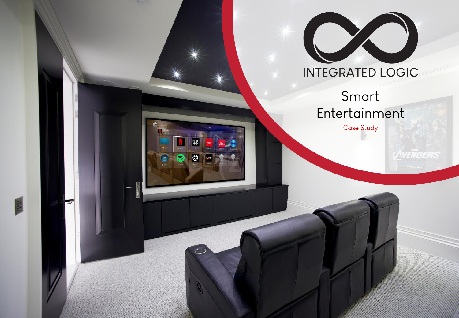